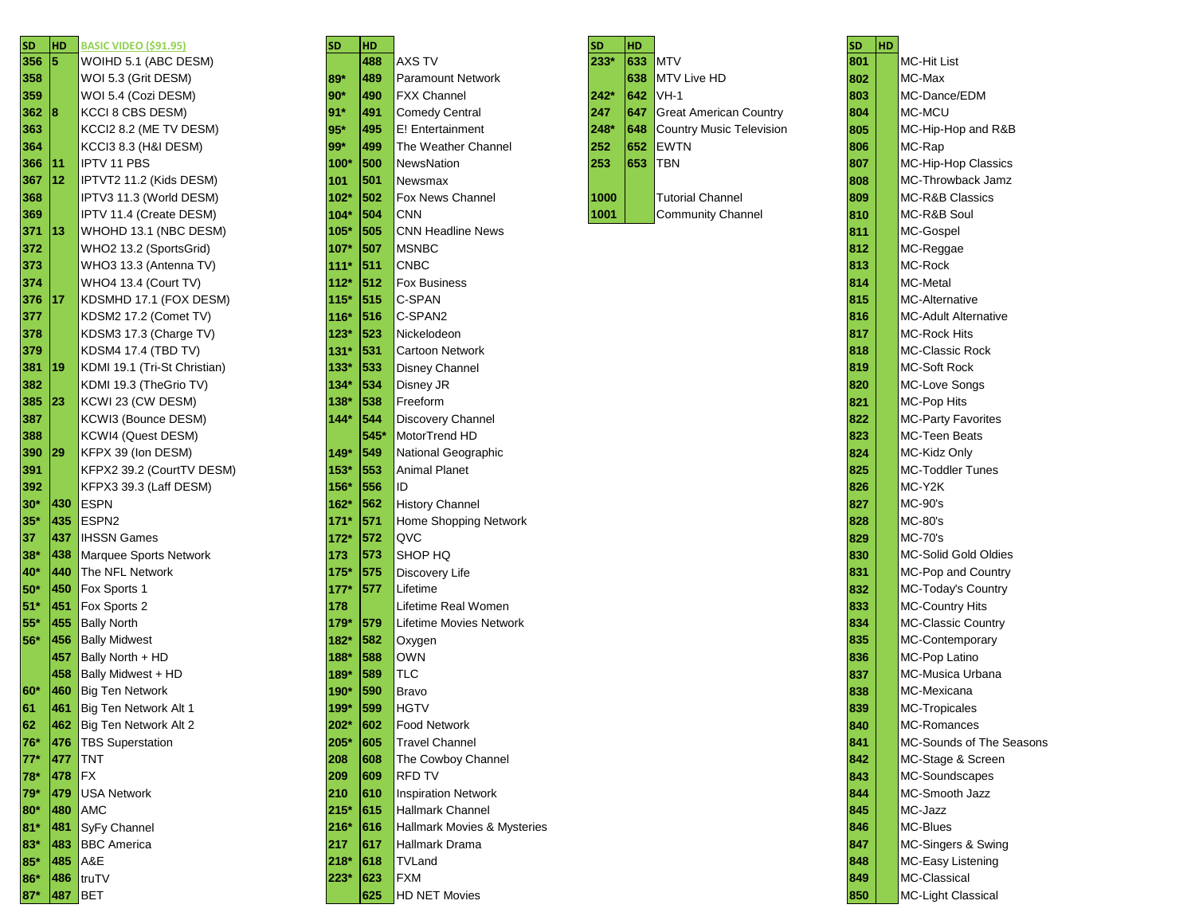| SD    | HD         | <b>BASIC VIDEO (\$91.95)</b>           |
|-------|------------|----------------------------------------|
| 356   | 5          | WOIHD 5.1 (ABC DESM)                   |
| 358   |            | WOI 5.3 (Grit DESM)                    |
| 359   |            | WOI 5.4 (Cozi DESM)                    |
| 362   | 8          | KCCI 8 CBS DESM)                       |
| 363   |            | KCCI2 8.2 (ME TV DESM)                 |
| 364   |            | KCCI3 8.3 (H&I DESM)                   |
| 366   | 11         | <b>IPTV 11 PBS</b>                     |
| 367   | 12         | IPTVT2 11.2 (Kids DESM)                |
| 368   |            | IPTV3 11.3 (World DESM)                |
| 369   |            | IPTV 11.4 (Create DESM)                |
| 371   | 13         | WHOHD 13.1 (NBC DESM)                  |
| 372   |            | WHO2 13.2 (SportsGrid)                 |
| 373   |            | WHO3 13.3 (Antenna TV)                 |
| 374   |            | WHO4 13.4 (Court TV)                   |
| 376   | 17         | KDSMHD 17.1 (FOX DESM)                 |
| 377   |            | KDSM2 17.2 (Comet TV)                  |
| 378   |            | KDSM3 17.3 (Charge TV)                 |
| 379   |            | <b>KDSM4 17.4 (TBD TV)</b>             |
| 381   | 19         | KDMI 19.1 (Tri-St Christian)           |
| 382   |            | KDMI 19.3 (TheGrio TV)                 |
| 385   | 23         | KCWI 23 (CW DESM)                      |
| 387   |            | KCWI3 (Bounce DESM)                    |
| 388   |            | KCWI4 (Quest DESM)                     |
| 390   | 29         | KFPX 39 (Ion DESM)                     |
| 391   |            | KFPX2 39.2 (CourtTV DESM)              |
| 392   |            | KFPX3 39.3 (Laff DESM)                 |
| $30*$ | 430        | <b>ESPN</b>                            |
| $35*$ | 435        | ESPN <sub>2</sub>                      |
| 37    | 437        | <b>IHSSN Games</b>                     |
| 38*   | 438        | Marquee Sports Network                 |
| 40*   | 440        | The NFL Network                        |
| 50*   | 450        | Fox Sports 1                           |
| 51*   | 451        | Fox Sports 2                           |
| $55*$ | 455        | <b>Bally North</b>                     |
| 56*   | 456        | <b>Bally Midwest</b>                   |
|       | 457<br>458 | Bally North + HD<br>Bally Midwest + HD |
| 60*   | 460        | <b>Big Ten Network</b>                 |
| 61    | 461        | Big Ten Network Alt 1                  |
| 62    | 462        | Big Ten Network Alt 2                  |
| 76*   | 476        | <b>TBS Superstation</b>                |
| $77*$ | 477        | TNT                                    |
| 78*   | 478        | <b>FX</b>                              |
| $79*$ | 479        | <b>USA Network</b>                     |
| $80*$ | 480        | <b>AMC</b>                             |
| $81*$ | 481        | SyFy Channel                           |
| $83*$ | 483        | <b>BBC</b> America                     |
| $85*$ | 485        | A&E                                    |
| $96*$ | 486        | triiT                                  |

| SD<br>356 | <b>HD</b><br>15 | <b>BASIC VIDEO (\$91.95)</b>            | <b>SD</b> | HD<br>488 | <b>AXS TV</b>               | <b>SD</b><br>$233*$ | HD.<br>633 MTV |                               | <b>HD</b><br><b>SD</b><br>801 | <b>MC-Hit List</b>          |
|-----------|-----------------|-----------------------------------------|-----------|-----------|-----------------------------|---------------------|----------------|-------------------------------|-------------------------------|-----------------------------|
|           |                 | WOIHD 5.1 (ABC DESM)                    |           |           | <b>Paramount Network</b>    |                     |                |                               |                               | MC-Max                      |
| 358       |                 | WOI 5.3 (Grit DESM)                     | 89*       | 489       |                             |                     | 638            | MTV Live HD<br>642 VH-1       | 802                           | MC-Dance/EDM                |
| 359       |                 | WOI 5.4 (Cozi DESM)<br>KCCI 8 CBS DESM) | 90*       | 490       | <b>FXX Channel</b>          | 242*                |                |                               | 803                           | MC-MCU                      |
| 362       | 8               |                                         | 91'       | 491       | <b>Comedy Central</b>       | 247                 | 647            | <b>Great American Country</b> | 804                           |                             |
| 363       |                 | KCCI2 8.2 (ME TV DESM)                  | 95*       | 495       | E! Entertainment            | 248*                | $ 648\rangle$  | Country Music Television      | 805                           | MC-Hip-Hop and R&B          |
| 364       |                 | KCCI3 8.3 (H&I DESM)                    | 99*       | 499       | The Weather Channel         | 252                 | 652            | <b>EWTN</b>                   | 806                           | MC-Rap                      |
| 366       | 11              | <b>IPTV 11 PBS</b>                      | 100       | 500       | <b>NewsNation</b>           | 253                 | 653            | <b>TBN</b>                    | 807                           | MC-Hip-Hop Classics         |
| 367       | 12              | IPTVT2 11.2 (Kids DESM)                 | 101       | 501       | Newsmax                     |                     |                |                               | 808                           | MC-Throwback Jamz           |
| 368       |                 | IPTV3 11.3 (World DESM)                 | 102       | 502       | Fox News Channel            | 1000                |                | <b>Tutorial Channel</b>       | 809                           | <b>MC-R&amp;B Classics</b>  |
| 369       |                 | IPTV 11.4 (Create DESM)                 | 104*      | 504       | <b>CNN</b>                  | 1001                |                | <b>Community Channel</b>      | 810                           | MC-R&B Soul                 |
| 371       | 13              | WHOHD 13.1 (NBC DESM)                   | 105*      | 505       | <b>CNN Headline News</b>    |                     |                |                               | 811                           | MC-Gospel                   |
| 372       |                 | WHO2 13.2 (SportsGrid)                  | 107*      | 507       | <b>MSNBC</b>                |                     |                |                               | 812                           | MC-Reggae                   |
| 373       |                 | WHO3 13.3 (Antenna TV)                  | $111*$    | 511       | <b>CNBC</b>                 |                     |                |                               | 813                           | MC-Rock                     |
| 374       |                 | WHO4 13.4 (Court TV)                    | 112*      | 512       | <b>Fox Business</b>         |                     |                |                               | 814                           | MC-Metal                    |
| 376       | 17              | KDSMHD 17.1 (FOX DESM)                  | 115*      | 515       | C-SPAN                      |                     |                |                               | 815                           | <b>MC-Alternative</b>       |
| 377       |                 | KDSM2 17.2 (Comet TV)                   | 116'      | 516       | C-SPAN2                     |                     |                |                               | 816                           | <b>MC-Adult Alternative</b> |
| 378       |                 | KDSM3 17.3 (Charge TV)                  | 123'      | 523       | Nickelodeon                 |                     |                |                               | 817                           | <b>MC-Rock Hits</b>         |
| 379       |                 | <b>KDSM4 17.4 (TBD TV)</b>              | 131*      | 531       | Cartoon Network             |                     |                |                               | 818                           | MC-Classic Rock             |
| 381       | 19              | KDMI 19.1 (Tri-St Christian)            | 133*      | 533       | Disney Channel              |                     |                |                               | 819                           | MC-Soft Rock                |
| 382       |                 | KDMI 19.3 (TheGrio TV)                  | 134*      | 534       | Disney JR                   |                     |                |                               | 820                           | MC-Love Songs               |
| 385       | 23              | KCWI 23 (CW DESM)                       | 138*      | 538       | Freeform                    |                     |                |                               | 821                           | MC-Pop Hits                 |
| 387       |                 | KCWI3 (Bounce DESM)                     | $144*$    | 544       | <b>Discovery Channel</b>    |                     |                |                               | 822                           | <b>MC-Party Favorites</b>   |
| 388       |                 | KCWI4 (Quest DESM)                      |           | 545       | MotorTrend HD               |                     |                |                               | 823                           | MC-Teen Beats               |
| 390       | 29              | KFPX 39 (Ion DESM)                      | 149*      | 549       | National Geographic         |                     |                |                               | 824                           | MC-Kidz Only                |
| 391       |                 | KFPX2 39.2 (CourtTV DESM)               | 153*      | 553       | <b>Animal Planet</b>        |                     |                |                               | 825                           | MC-Toddler Tunes            |
| 392       |                 | KFPX3 39.3 (Laff DESM)                  | 156*      | 556       | ID                          |                     |                |                               | 826                           | MC-Y2K                      |
| 30*       | 430             | ESPN                                    | 162*      | 562       | <b>History Channel</b>      |                     |                |                               | 827                           | <b>MC-90's</b>              |
| $35*$     | 435             | <b>ESPN2</b>                            | $171*$    | 571       | Home Shopping Network       |                     |                |                               | 828                           | <b>MC-80's</b>              |
| 37        | 437             | <b>IHSSN Games</b>                      | 172*      | 572       | QVC                         |                     |                |                               | 829                           | <b>MC-70's</b>              |
| $38*$     | 438             | Marquee Sports Network                  | 173       | 573       | SHOP HQ                     |                     |                |                               | 830                           | MC-Solid Gold Oldies        |
| 40*       | 440             | The NFL Network                         | 175*      | 575       | <b>Discovery Life</b>       |                     |                |                               | 831                           | MC-Pop and Country          |
| 50*       | 450             | <b>Fox Sports 1</b>                     | 177       | 577       | Lifetime                    |                     |                |                               | 832                           | MC-Today's Country          |
| 51*       | 451             | <b>Fox Sports 2</b>                     | 178       |           | Lifetime Real Women         |                     |                |                               | 833                           | MC-Country Hits             |
| 55*       | 455             | <b>Bally North</b>                      | 179*      | 579       | Lifetime Movies Network     |                     |                |                               | 834                           | MC-Classic Country          |
| 56*       | 456             | <b>Bally Midwest</b>                    | 182*      | 582       | Oxygen                      |                     |                |                               | 835                           | MC-Contemporary             |
|           | 457             | Bally North + HD                        | 188*      | 588       | <b>OWN</b>                  |                     |                |                               | 836                           | MC-Pop Latino               |
|           | 458             | <b>Bally Midwest + HD</b>               | 189'      | 589       | <b>TLC</b>                  |                     |                |                               | 837                           | MC-Musica Urbana            |
| 60*       |                 | 460 Big Ten Network                     | 190*      | 590       | <b>Bravo</b>                |                     |                |                               | 838                           | MC-Mexicana                 |
| 61        | 461             | Big Ten Network Alt 1                   | 199*      | 599       | <b>HGTV</b>                 |                     |                |                               | 839                           | MC-Tropicales               |
| 62        |                 | 462 Big Ten Network Alt 2               | 202*      | 602       | <b>Food Network</b>         |                     |                |                               | 840                           | MC-Romances                 |
| 76*       |                 | 476   TBS Superstation                  | 205*      | 605       | <b>Travel Channel</b>       |                     |                |                               | 841                           | MC-Sounds of The Seasons    |
| $77*$     | 477             | <b>TNT</b>                              | 208       | 608       | The Cowboy Channel          |                     |                |                               | 842                           | MC-Stage & Screen           |
| 78*       | 478             | <b>IFX</b>                              | 209       | 609       | RFD TV                      |                     |                |                               | 843                           | MC-Soundscapes              |
| 79*       | 479             | USA Network                             | 210       | 610       | <b>Inspiration Network</b>  |                     |                |                               | 844                           | MC-Smooth Jazz              |
| 80*       | 480             | <b>AMC</b>                              | 215*      | 615       | <b>Hallmark Channel</b>     |                     |                |                               | 845                           | MC-Jazz                     |
| $81*$     | 481             | SyFy Channel                            | 216*      | 616       | Hallmark Movies & Mysteries |                     |                |                               | 846                           | MC-Blues                    |
| 83*       | 483             | <b>BBC</b> America                      | 217       | 617       | Hallmark Drama              |                     |                |                               | 847                           | MC-Singers & Swing          |
| 85*       | 485 A&E         |                                         | 218*      | 618       | TVLand                      |                     |                |                               | 848                           | MC-Easy Listening           |
| 86*       |                 | $ 486 $ truTV                           | 223*      | 623       | <b>FXM</b>                  |                     |                |                               | 849                           | MC-Classical                |
|           |                 |                                         |           |           |                             |                     |                |                               |                               |                             |

| J     | HD  |                                 |
|-------|-----|---------------------------------|
| $33*$ | 633 | <b>MTV</b>                      |
|       | 638 | <b>MTV Live HD</b>              |
| 42*   | 642 | $VH-1$                          |
| 47    | 647 | <b>Great American Country</b>   |
| 48*   | 648 | <b>Country Music Television</b> |
| 52    | 652 | <b>EWTN</b>                     |
| 53    | 653 | TBN                             |
|       |     |                                 |
| 000   |     | <b>Tutorial Channel</b>         |
| 001   |     | <b>Community Channel</b>        |
|       |     |                                 |
|       |     |                                 |

|                 | .       | <u>נכובכטן שבשוע ההתכ</u>    |               | .    |                             |      |     |                                 | ,,,              | .                           |                            |
|-----------------|---------|------------------------------|---------------|------|-----------------------------|------|-----|---------------------------------|------------------|-----------------------------|----------------------------|
| 356             |         | WOIHD 5.1 (ABC DESM)         |               | 488  | AXS TV                      | 233* | 633 | <b>MTV</b>                      | 801              |                             | <b>MC-Hit List</b>         |
| 358             |         | WOI 5.3 (Grit DESM)          | 89*           | 489  | <b>Paramount Network</b>    |      | 638 | MTV Live HD                     | 802              |                             | MC-Max                     |
| 359             |         | WOI 5.4 (Cozi DESM)          | 90*           | 490  | <b>FXX Channel</b>          | 242* | 642 | $VH-1$                          | 803              |                             | MC-Dance/EDM               |
| 362             | 18      | KCCI 8 CBS DESM)             | $91*$         | 491  | <b>Comedy Central</b>       | 247  | 647 | <b>Great American Country</b>   | 804              |                             | MC-MCU                     |
| 363             |         | KCCI2 8.2 (ME TV DESM)       | 95*           | 495  | E! Entertainment            | 248* | 648 | <b>Country Music Television</b> | 805              |                             | MC-Hip-Hop and R&B         |
| 364             |         | KCCI3 8.3 (H&I DESM)         | 99*           | 499  | The Weather Channel         | 252  | 652 | <b>EWTN</b>                     | 806              |                             | MC-Rap                     |
| 366             | 11      | <b>IPTV 11 PBS</b>           | $100^{\circ}$ | 500  | NewsNation                  | 253  | 653 | <b>TBN</b>                      | 807              |                             | MC-Hip-Hop Classics        |
| 367             | 12      | IPTVT2 11.2 (Kids DESM)      | 101           | 501  | Newsmax                     |      |     |                                 | 808              |                             | MC-Throwback Jamz          |
| 368             |         | IPTV3 11.3 (World DESM)      | $102^{\circ}$ | 502  | Fox News Channel            | 1000 |     | <b>Tutorial Channel</b>         | 809              |                             | <b>MC-R&amp;B Classics</b> |
| 369             |         | IPTV 11.4 (Create DESM)      | $104*$        | 504  | <b>CNN</b>                  | 1001 |     | <b>Community Channel</b>        | 810              |                             | MC-R&B Soul                |
| 371             | 13      | WHOHD 13.1 (NBC DESM)        | $105^{\circ}$ | 505  | <b>CNN Headline News</b>    |      |     |                                 | 811              |                             | MC-Gospel                  |
| 372             |         | WHO2 13.2 (SportsGrid)       | $107^\circ$   | 507  | <b>MSNBC</b>                |      |     |                                 | 812              |                             | MC-Reggae                  |
| 373             |         | WHO3 13.3 (Antenna TV)       | 111'          | 511  | <b>CNBC</b>                 |      |     |                                 | 813              |                             | MC-Rock                    |
| 374             |         | WHO4 13.4 (Court TV)         | $112*$        | 512  | Fox Business                |      |     |                                 | 814              |                             | MC-Metal                   |
| 376             | 17      | KDSMHD 17.1 (FOX DESM)       | 115*          | 515  | C-SPAN                      |      |     |                                 | 815              |                             | <b>MC-Alternative</b>      |
| 377             |         | KDSM2 17.2 (Comet TV)        | 116           | 516  | C-SPAN2                     |      |     |                                 | 816              |                             | MC-Adult Alternative       |
| 378             |         | KDSM3 17.3 (Charge TV)       | 123           | 523  | Nickelodeon                 |      |     |                                 | 817              |                             | <b>MC-Rock Hits</b>        |
| 379             |         | <b>KDSM4 17.4 (TBD TV)</b>   | 131           | 531  | Cartoon Network             |      |     |                                 | 818              |                             | <b>MC-Classic Rock</b>     |
| 381             | 19      | KDMI 19.1 (Tri-St Christian) | $133^{\circ}$ | 533  | Disney Channel              |      |     |                                 | 819              |                             | MC-Soft Rock               |
| 382             |         | KDMI 19.3 (TheGrio TV)       | $134*$        | 534  | Disney JR                   |      |     |                                 | 820              |                             | MC-Love Songs              |
| 385             | 23      | KCWI 23 (CW DESM)            | $138*$        | 538  | Freeform                    |      |     |                                 | 821              |                             | MC-Pop Hits                |
| 387             |         | KCWI3 (Bounce DESM)          | $144*$        | 544  | Discovery Channel           |      |     |                                 | 822              |                             | <b>MC-Party Favorites</b>  |
| 388             |         | KCWI4 (Quest DESM)           |               | 545* | MotorTrend HD               |      |     |                                 | 823              |                             | <b>MC-Teen Beats</b>       |
| 390             | 29      | KFPX 39 (Ion DESM)           | 149*          | 549  | National Geographic         |      |     |                                 | 824              |                             | MC-Kidz Only               |
| 391             |         | KFPX2 39.2 (CourtTV DESM)    | 153           | 553  | <b>Animal Planet</b>        |      | 825 |                                 | MC-Toddler Tunes |                             |                            |
| 392             |         | KFPX3 39.3 (Laff DESM)       | 156*          | 556  | ID                          |      | 826 |                                 | MC-Y2K           |                             |                            |
| 30*             | 430     | <b>ESPN</b>                  | $162*$        | 562  | <b>History Channel</b>      |      | 827 |                                 | <b>MC-90's</b>   |                             |                            |
| $35*$           | 435     | ESPN <sub>2</sub>            | 171           | 571  | Home Shopping Network       |      |     |                                 | 828              |                             | MC-80's                    |
| 37              | 437     | <b>IHSSN Games</b>           | 172*          | 572  | QVC                         |      |     | 829                             |                  | <b>MC-70's</b>              |                            |
| $38*$           | 438     | Marquee Sports Network       | 173           | 573  | SHOP HQ                     |      |     | 830                             |                  | <b>MC-Solid Gold Oldies</b> |                            |
| <b>40*</b>      | 440     | The NFL Network              | 175           | 575  | Discovery Life              |      |     |                                 | 831              |                             | MC-Pop and Country         |
| $50*$           | 450     | Fox Sports 1                 | 177           | 577  | Lifetime                    |      |     |                                 | 832              |                             | MC-Today's Country         |
| 51*             | 451     | Fox Sports 2                 | 178           |      | Lifetime Real Women         |      |     |                                 | 833              |                             | MC-Country Hits            |
| $55^{\circ}$    | 455     | <b>Bally North</b>           | $179*$        | 579  | Lifetime Movies Network     |      |     |                                 | 834              |                             | MC-Classic Country         |
| 56*             | 456     | <b>Bally Midwest</b>         | $182*$        | 582  | Oxygen                      |      |     |                                 | 835              |                             | MC-Contemporary            |
|                 | 457     | Bally North + HD             | 188*          | 588  | OWN                         |      |     |                                 | 836              |                             | MC-Pop Latino              |
|                 | 458     | Bally Midwest + HD           | $189*$        | 589  | TLC                         |      |     |                                 | 837              |                             | <b>MC-Musica Urbana</b>    |
| 60 <sup>*</sup> | 460     | <b>Big Ten Network</b>       | 190*          | 590  | Bravo                       |      |     |                                 | 838              |                             | MC-Mexicana                |
| 61              | 461     | Big Ten Network Alt 1        | $199*$        | 599  | <b>HGTV</b>                 |      |     |                                 | 839              |                             | MC-Tropicales              |
| 62              |         | 462 Big Ten Network Alt 2    | 202*          | 602  | Food Network                |      |     |                                 | 840              |                             | MC-Romances                |
| 76*             |         | 476   TBS Superstation       | 205*          | 605  | <b>Travel Channel</b>       |      |     |                                 | 841              |                             | MC-Sounds of The Seasons   |
| $77*$           | 477     | <b>TNT</b>                   | 208           | 608  | The Cowboy Channel          |      |     |                                 | 842              |                             | MC-Stage & Screen          |
| 78*             | 478     | <b>FX</b>                    | 209           | 609  | <b>RFD TV</b>               |      |     |                                 | 843              |                             | MC-Soundscapes             |
| 79*             | 479     | <b>USA Network</b>           | 210           | 610  | <b>Inspiration Network</b>  |      |     |                                 | 844              |                             | MC-Smooth Jazz             |
| 80*             | 480     | AMC                          | 215*          | 615  | <b>Hallmark Channel</b>     |      |     |                                 | 845              |                             | MC-Jazz                    |
| $81*$           | 481     | SyFy Channel                 | 216*          | 616  | Hallmark Movies & Mysteries |      |     |                                 | 846              |                             | MC-Blues                   |
| 83*             | 483     | <b>BBC</b> America           | 217           | 617  | Hallmark Drama              |      |     |                                 | 847              |                             | MC-Singers & Swing         |
| 85*             | 485     | A&E                          | 218*          | 618  | TVLand                      |      |     |                                 | 848              |                             | MC-Easy Listening          |
| 86*             | 486     | truTV                        | 223*          | 623  | <b>FXM</b>                  |      |     |                                 | 849              |                             | MC-Classical               |
| 87*             | 487 BET |                              |               | 625  | <b>HD NET Movies</b>        |      |     |                                 | 850              |                             | <b>MC-Light Classical</b>  |